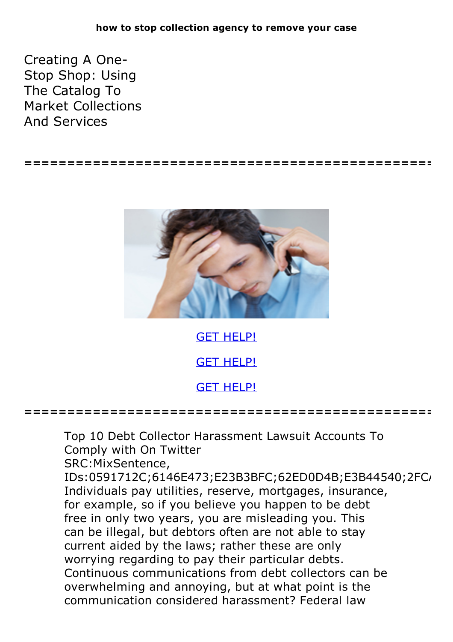Creating A One-<br>Stop Shop: Using The Catalog To Market Collections And Services

**================================================**



GET [HELP!](https://runpdf.xyz/pdf)

GET [HELP!](https://runpdf.xyz/pdf)

GET [HELP!](https://runpdf.xyz/pdf)

**================================================**

Top 10 Debt Collector Harassment Lawsuit Accounts To Comply with On Twitter

SRC:MixSentence,

IDs:0591712C;6146E473;E23B3BFC;62ED0D4B;E3B44540;2FC/ Individuals pay utilities, reserve, mortgages, insurance, for example, so if you believe you happen to be debt free in only two years, you are misleading you. This can be illegal, but debtors often are not able to stay current aided by the laws; rather these are only worrying regarding to pay their particular debts.<br>Continuous communications from debt collectors can be overwhelming and annoying, but at what point is the communication considered harassment? Federal law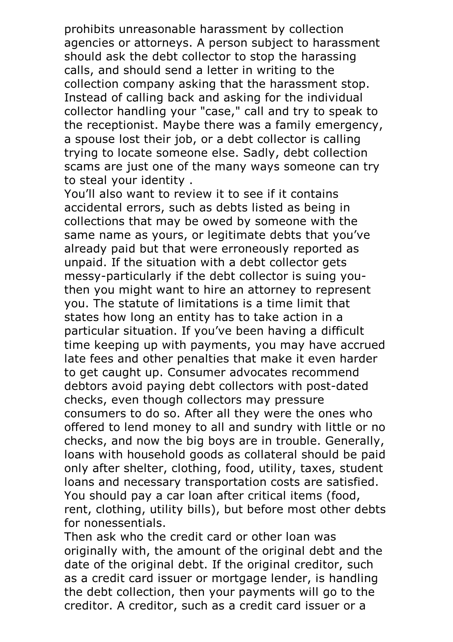prohibits unreasonable harassment by collection agencies or attorneys. A person subject to harassment should ask the debt collector to stop the harassing calls, and should send a letter in writing to the collection company asking that the harassment stop. Instead of calling back and asking for the individual collector handling your "case," call and try to speak to the receptionist. Maybe there was a family emergency, a spouse lost their job, or a debt collector is calling trying to locate someone else. Sadly, debt collection scams are just one of the many ways someone can try to steal your identity . You'll also want to review it to see if it contains

accidental errors, such as debts listed as being in collections that may be owed by someone with the same name as yours, or legitimate debts that you've already paid but that were erroneously reported as unpaid. If the situation with a debt collector gets messy-particularly if the debt collector is suing youthen you might want to hire an attorney to represent you. The statute of limitations is a time limit that states how long an entity has to take action in a particular situation. If you've been having a difficult time keeping up with payments, you may have accrued late fees and other penalties that make it even harder to get caught up. Consumer advocates recommend debtors avoid paying debt collectors with post-dated checks, even though collectors may pressure consumers to do so. After all they were the ones who offered to lend money to all and sundry with little or no checks, and now the big boys are in trouble. Generally, loans with household goods as collateral should be paid only after shelter, clothing, food, utility, taxes, student loans and necessary transportation costs are satisfied. You should pay <sup>a</sup> car loan after critical items (food, rent, clothing, utility bills), but before most other debts for nonessentials.<br>Then ask who the credit card or other loan was

originally with, the amount of the original debt and the date of the original debt. If the original creditor, such as a credit card issuer or mortgage lender, is handling the debt collection, then your payments will go to the creditor. A creditor, such as a credit card issuer or a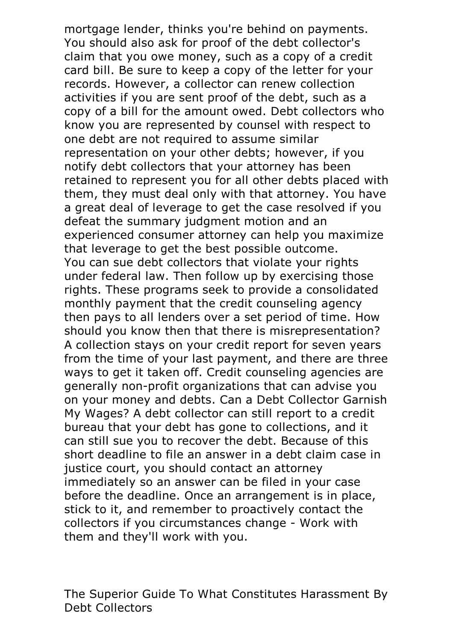mortgage lender, thinks you're behind on payments. You should also ask for proof of the debt collector's claim that you owe money, such as a copy of a credit card bill. Be sure to keep a copy of the letter for your records. However, a collector can renew collection activities if you are sent proof of the debt, such as a copy of a bill for the amount owed. Debt collectors who know you are represented by counsel with respect to one debt are not required to assume similar representation on your other debts; however, if you notify debt collectors that your attorney has been retained to represent you for all other debts placed with them, they must deal only with that attorney. You have a great deal of leverage to get the case resolved if you defeat the summary judgment motion and an experienced consumer attorney can help you maximize that leverage to get the best possible outcome. You can sue debt collectors that violate your rights under federal law. Then follow up by exercising those rights. These programs seek to provide a consolidated monthly payment that the credit counseling agency then pays to all lenders over a set period of time. How should you know then that there is misrepresentation? A collection stays on your credit report for seven years from the time of your last payment, and there are three ways to get it taken off. Credit counseling agencies are generally non-profit organizations that can advise you on your money and debts. Can a Debt Collector Garnish My Wages? A debt collector can still report to a credit bureau that your debt has gone to collections, and it can still sue you to recover the debt. Because of this short deadline to file an answer in a debt claim case in justice court, you should contact an attorney immediately so an answer can be filed in your case before the deadline. Once an arrangement is in place, stick to it, and remember to proactively contact the collectors if you circumstances change - Work with them and they'll work with you.

The Superior Guide To What Constitutes Harassment By Debt Collectors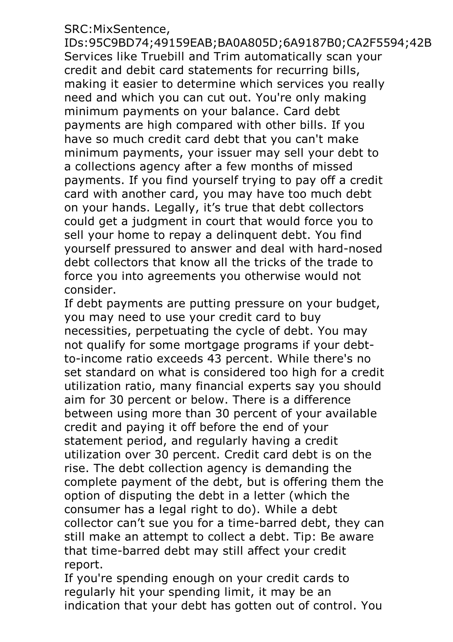## SRC:MixSentence,

IDs:95C9BD74;49159EAB;BA0A805D;6A9187B0;CA2F5594;42B Services like Truebill and Trim automatically scan your credit and debit card statements for recurring bills, making it easier to determine which services you really need and which you can cut out. You're only making minimum payments on your balance. Card debt payments are high compared with other bills. If you have so much credit card debt that you can't make minimum payments, your issuer may sell your debt to a collections agency after a few months of missed payments. If you find yourself trying to pay off a credit card with another card, you may have too much debt on your hands. Legally, it's true that debt collectors could get a judgment in court that would force you to sell your home to repay a delinquent debt. You find yourself pressured to answer and deal with hard-nosed debt collectors that know all the tricks of the trade to force you into agreements you otherwise would not consider.

If debt payments are putting pressure on your budget, you may need to use your credit card to buy necessities, perpetuating the cycle of debt. You may not qualify for some mortgage programs if your debtto-income ratio exceeds 43 percent. While there's no set standard on what is considered too high for a credit utilization ratio, many financial experts say you should aim for 30 percent or below. There is a difference between using more than 30 percent of your available credit and paying it off before the end of your statement period, and regularly having a credit utilization over 30 percent. Credit card debt is on the rise. The debt collection agency is demanding the complete payment of the debt, but is offering them the option of disputing the debt in a letter (which the consumer has a legal right to do). While a debt collector can't sue you for a time-barred debt, they can still make an attempt to collect a debt. Tip: Be aware that time-barred debt may still affect your credit report.

If you're spending enough on your credit cards to regularly hit your spending limit, it may be an indication that your debt has gotten out of control. You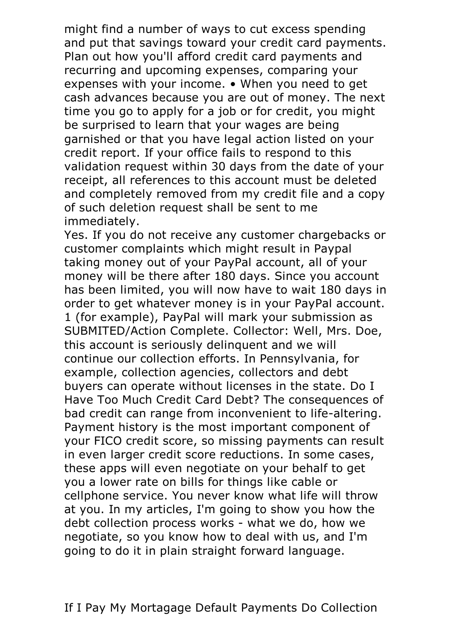might find a number of ways to cut excess spending and put that savings toward your credit card payments. Plan out how you'll afford credit card payments and recurring and upcoming expenses, comparing your expenses with your income. • When you need to get cash advances because you are out of money. The next time you go to apply for a job or for credit, you might be surprised to learn that your wages are being garnished or that you have legal action listed on your credit report. If your office fails to respond to this validation request within 30 days from the date of your receipt, all references to this account must be deleted and completely removed from my credit file and a copy of such deletion request shall be sent to me immediately.<br>Yes. If you do not receive any customer chargebacks or

customer complaints which might result in Paypal taking money out of your PayPal account, all of your money will be there after 180 days. Since you account has been limited, you will now have to wait 180 days in order to get whatever money is in your PayPal account. <sup>1</sup> (for example), PayPal will mark your submission as SUBMITED/Action Complete. Collector: Well, Mrs. Doe, this account is seriously delinquent and we will continue our collection efforts. In Pennsylvania, for example, collection agencies, collectors and debt buyers can operate without licenses in the state. Do I Have Too Much Credit Card Debt? The consequences of bad credit can range from inconvenient to life-altering. Payment history is the most important component of your FICO credit score, so missing payments can result in even larger credit score reductions. In some cases, these apps will even negotiate on your behalf to get you a lower rate on bills for things like cable or cellphone service. You never know what life will throw at you. In my articles, I'm going to show you how the debt collection process works - what we do, how we negotiate, so you know how to deal with us, and I'm going to do it in plain straight forward language.